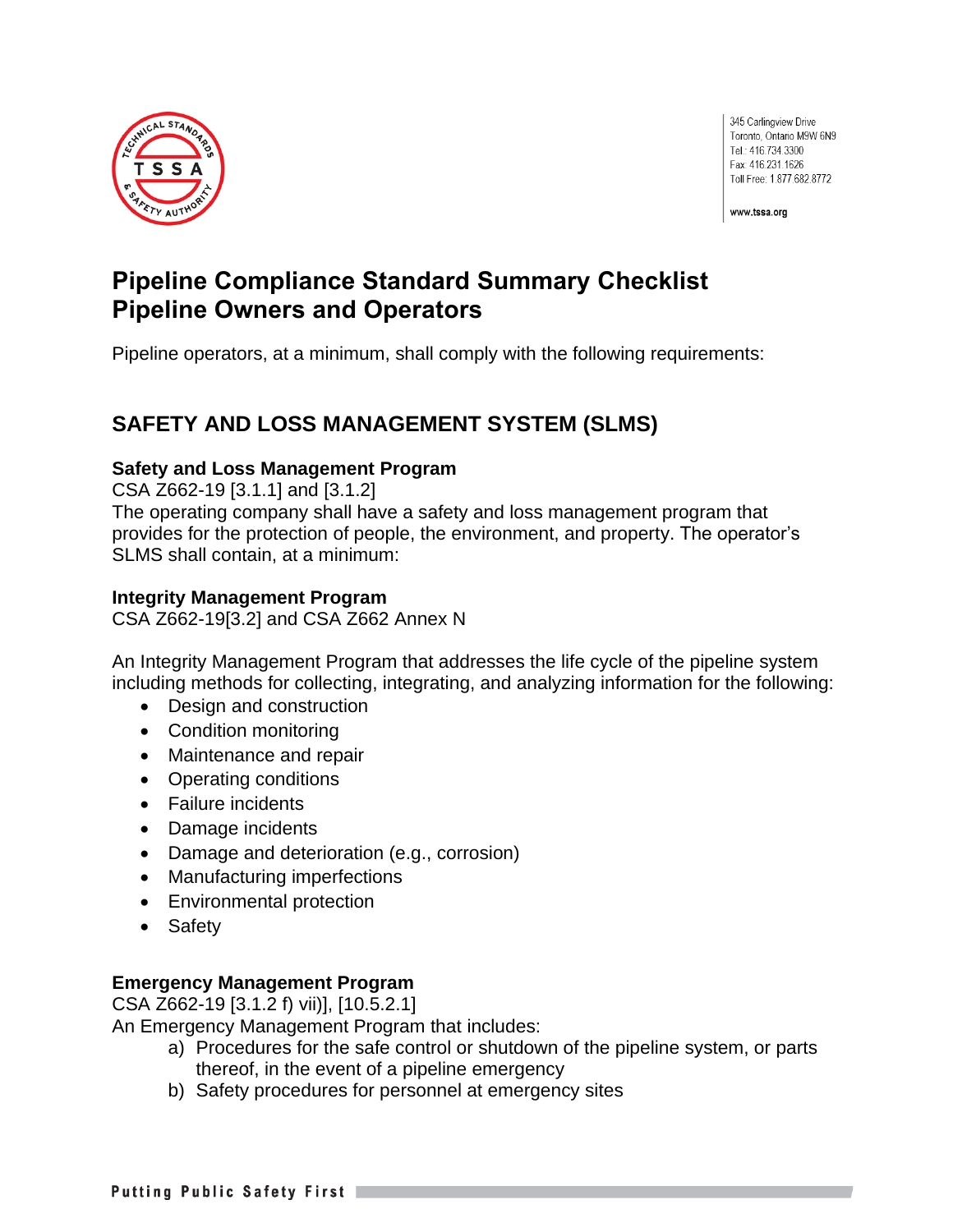

345 Carlingview Drive Toronto, Ontario M9W 6N9 Tel.: 416.734.3300 Fax: 416.231.1626 Toll Free: 1.877.682.8772

www.tssa.org

# **Pipeline Compliance Standard Summary Checklist Pipeline Owners and Operators**

Pipeline operators, at a minimum, shall comply with the following requirements:

# **SAFETY AND LOSS MANAGEMENT SYSTEM (SLMS)**

#### **Safety and Loss Management Program**

CSA Z662-19 [3.1.1] and [3.1.2]

The operating company shall have a safety and loss management program that provides for the protection of people, the environment, and property. The operator's SLMS shall contain, at a minimum:

#### **Integrity Management Program**

CSA Z662-19[3.2] and CSA Z662 Annex N

An Integrity Management Program that addresses the life cycle of the pipeline system including methods for collecting, integrating, and analyzing information for the following:

- Design and construction
- Condition monitoring
- Maintenance and repair
- Operating conditions
- Failure incidents
- Damage incidents
- Damage and deterioration (e.g., corrosion)
- Manufacturing imperfections
- Environmental protection
- Safety

#### **Emergency Management Program**

CSA Z662-19 [3.1.2 f) vii)], [10.5.2.1]

An Emergency Management Program that includes:

- a) Procedures for the safe control or shutdown of the pipeline system, or parts thereof, in the event of a pipeline emergency
- b) Safety procedures for personnel at emergency sites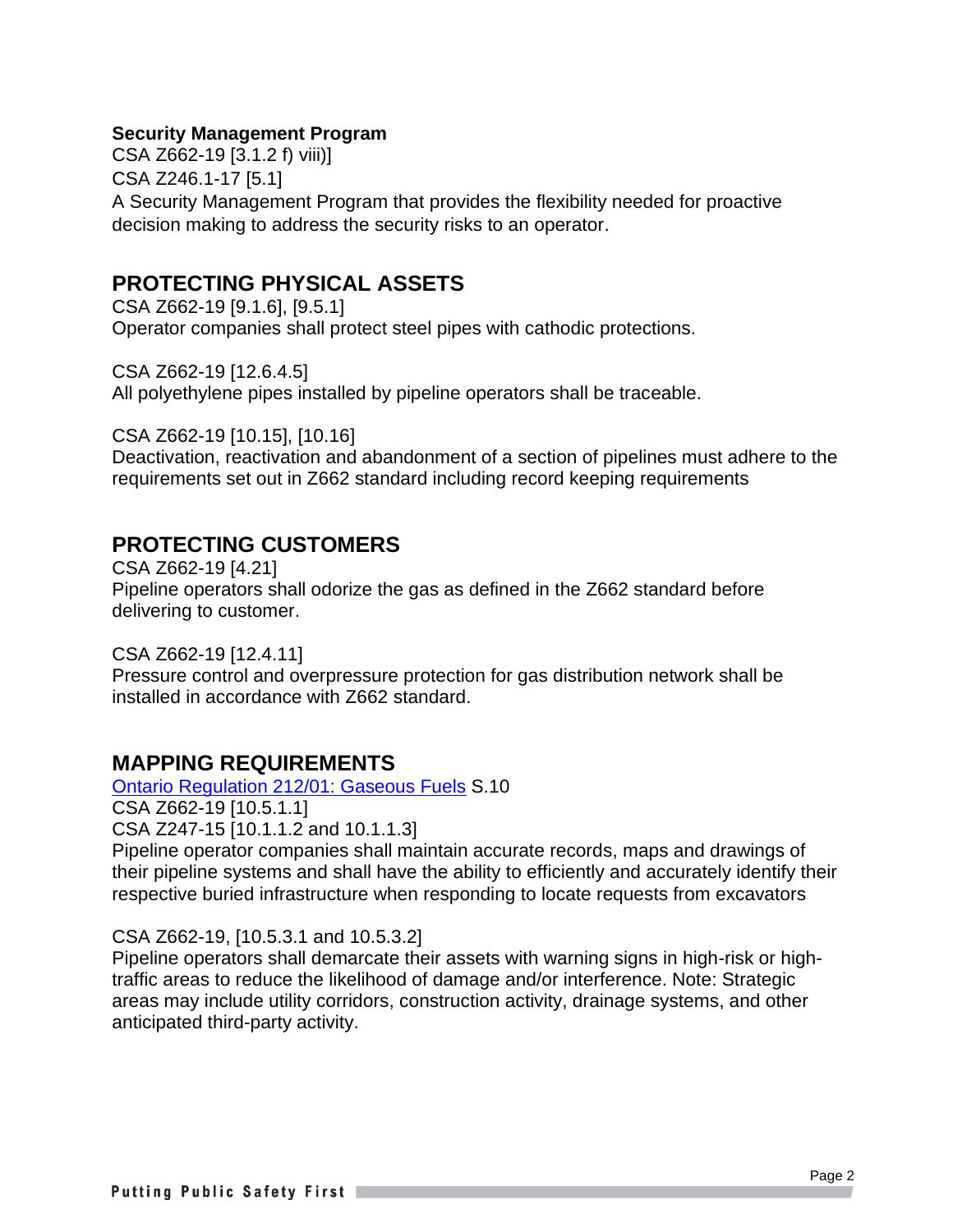#### **Security Management Program**

CSA Z662-19 [3.1.2 f) viii)] CSA Z246.1-17 [5.1] A Security Management Program that provides the flexibility needed for proactive decision making to address the security risks to an operator.

### **PROTECTING PHYSICAL ASSETS**

CSA Z662-19 [9.1.6], [9.5.1] Operator companies shall protect steel pipes with cathodic protections.

CSA Z662-19 [12.6.4.5] All polyethylene pipes installed by pipeline operators shall be traceable.

CSA Z662-19 [10.15], [10.16]

Deactivation, reactivation and abandonment of a section of pipelines must adhere to the requirements set out in Z662 standard including record keeping requirements

### **PROTECTING CUSTOMERS**

CSA Z662-19 [4.21] Pipeline operators shall odorize the gas as defined in the Z662 standard before delivering to customer.

CSA Z662-19 [12.4.11] Pressure control and overpressure protection for gas distribution network shall be installed in accordance with Z662 standard.

### **MAPPING REQUIREMENTS**

[Ontario Regulation 212/01: Gaseous Fuels](https://www.ontario.ca/laws/regulation/010212) S.10

CSA Z662-19 [10.5.1.1]

CSA Z247-15 [10.1.1.2 and 10.1.1.3]

Pipeline operator companies shall maintain accurate records, maps and drawings of their pipeline systems and shall have the ability to efficiently and accurately identify their respective buried infrastructure when responding to locate requests from excavators

#### CSA Z662-19, [10.5.3.1 and 10.5.3.2]

Pipeline operators shall demarcate their assets with warning signs in high-risk or hightraffic areas to reduce the likelihood of damage and/or interference. Note: Strategic areas may include utility corridors, construction activity, drainage systems, and other anticipated third-party activity.